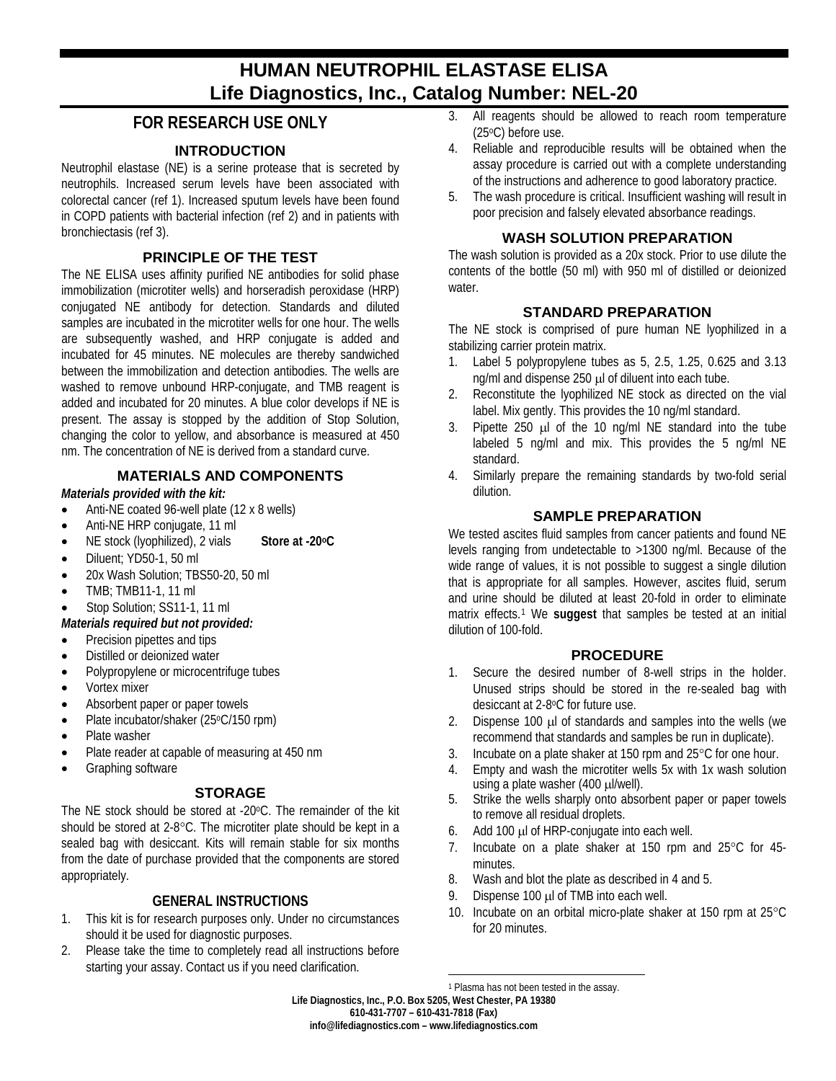# **HUMAN NEUTROPHIL ELASTASE ELISA Life Diagnostics, Inc., Catalog Number: NEL-20**

## **FOR RESEARCH USE ONLY**

## **INTRODUCTION**

Neutrophil elastase (NE) is a serine protease that is secreted by neutrophils. Increased serum levels have been associated with colorectal cancer (ref 1). Increased sputum levels have been found in COPD patients with bacterial infection (ref 2) and in patients with bronchiectasis (ref 3).

## **PRINCIPLE OF THE TEST**

The NE ELISA uses affinity purified NE antibodies for solid phase immobilization (microtiter wells) and horseradish peroxidase (HRP) conjugated NE antibody for detection. Standards and diluted samples are incubated in the microtiter wells for one hour. The wells are subsequently washed, and HRP conjugate is added and incubated for 45 minutes. NE molecules are thereby sandwiched between the immobilization and detection antibodies. The wells are washed to remove unbound HRP-conjugate, and TMB reagent is added and incubated for 20 minutes. A blue color develops if NE is present. The assay is stopped by the addition of Stop Solution, changing the color to yellow, and absorbance is measured at 450 nm. The concentration of NE is derived from a standard curve.

## **MATERIALS AND COMPONENTS**

#### *Materials provided with the kit:*

- Anti-NE coated 96-well plate (12 x 8 wells)
- Anti-NE HRP conjugate, 11 ml
- NE stock (lyophilized), 2 vials **Store at -20oC**
- Diluent: YD50-1, 50 ml
- 20x Wash Solution; TBS50-20, 50 ml
- TMB; TMB11-1, 11 ml
- Stop Solution; SS11-1, 11 ml

#### *Materials required but not provided:*

- Precision pipettes and tips
- Distilled or deionized water
- Polypropylene or microcentrifuge tubes
- Vortex mixer
- Absorbent paper or paper towels
- Plate incubator/shaker (25°C/150 rpm)
- Plate washer
- Plate reader at capable of measuring at 450 nm
- Graphing software

## **STORAGE**

The NE stock should be stored at -20°C. The remainder of the kit should be stored at 2-8°C. The microtiter plate should be kept in a sealed bag with desiccant. Kits will remain stable for six months from the date of purchase provided that the components are stored appropriately.

## **GENERAL INSTRUCTIONS**

- 1. This kit is for research purposes only. Under no circumstances should it be used for diagnostic purposes.
- <span id="page-0-0"></span>2. Please take the time to completely read all instructions before starting your assay. Contact us if you need clarification.
- 3. All reagents should be allowed to reach room temperature (25oC) before use.
- 4. Reliable and reproducible results will be obtained when the assay procedure is carried out with a complete understanding of the instructions and adherence to good laboratory practice.
- 5. The wash procedure is critical. Insufficient washing will result in poor precision and falsely elevated absorbance readings.

#### **WASH SOLUTION PREPARATION**

The wash solution is provided as a 20x stock. Prior to use dilute the contents of the bottle (50 ml) with 950 ml of distilled or deionized water.

## **STANDARD PREPARATION**

The NE stock is comprised of pure human NE lyophilized in a stabilizing carrier protein matrix.

- 1. Label 5 polypropylene tubes as 5, 2.5, 1.25, 0.625 and 3.13 ng/ml and dispense 250 µ of diluent into each tube.
- 2. Reconstitute the lyophilized NE stock as directed on the vial label. Mix gently. This provides the 10 ng/ml standard.
- 3. Pipette 250 µl of the 10 ng/ml NE standard into the tube labeled 5 ng/ml and mix. This provides the 5 ng/ml NE standard.
- 4. Similarly prepare the remaining standards by two-fold serial dilution.

## **SAMPLE PREPARATION**

We tested ascites fluid samples from cancer patients and found NE levels ranging from undetectable to >1300 ng/ml. Because of the wide range of values, it is not possible to suggest a single dilution that is appropriate for all samples. However, ascites fluid, serum and urine should be diluted at least 20-fold in order to eliminate matrix effects.[1](#page-0-0) We **suggest** that samples be tested at an initial dilution of 100-fold.

#### **PROCEDURE**

- 1. Secure the desired number of 8-well strips in the holder. Unused strips should be stored in the re-sealed bag with desiccant at 2-8°C for future use.
- 2. Dispense 100 µl of standards and samples into the wells (we recommend that standards and samples be run in duplicate).
- 3. Incubate on a plate shaker at 150 rpm and 25°C for one hour.
- 4. Empty and wash the microtiter wells 5x with 1x wash solution using a plate washer (400 µl/well).
- 5. Strike the wells sharply onto absorbent paper or paper towels to remove all residual droplets.
- 6. Add 100 µl of HRP-conjugate into each well.
- 7. Incubate on a plate shaker at 150 rpm and 25°C for 45 minutes.
- 8. Wash and blot the plate as described in 4 and 5.
- 9. Dispense 100 µl of TMB into each well.
- 10. Incubate on an orbital micro-plate shaker at 150 rpm at 25°C for 20 minutes.

 $\overline{a}$ 

**Life Diagnostics, Inc., P.O. Box 5205, West Chester, PA 19380 610-431-7707 – 610-431-7818 (Fax) info@lifediagnostics.com – www.lifediagnostics.com** <sup>1</sup> Plasma has not been tested in the assay.